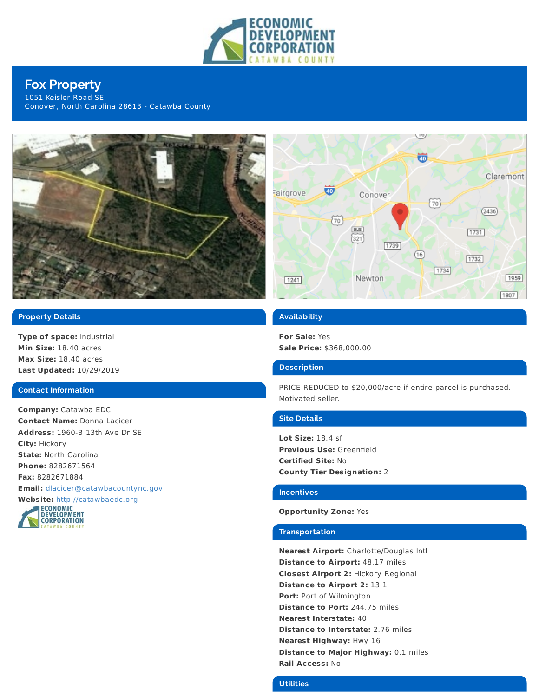

# **Fox Property**

1051 Keisler Road SE Conover, North Carolina 28613 - Catawba County



## **Property Details**

**Type of space:** Industrial **Min Size:** 18.40 acres **Max Size:** 18.40 acres **Last Updated:** 10/29/2019

#### **Contact Information**

**Company:** Catawba EDC **Contact Name:** Donna Lacicer **Address:** 1960-B 13th Ave Dr SE **City:** Hickory **State:** North Carolina **Phone:** 8282671564 **Fax:** 8282671884 **Email:** [dlacicer@catawbacountync.gov](mailto:dlacicer@catawbacountync.gov)





## **Availability**

**For Sale:** Yes **Sale Price:** \$368,000.00

#### **Description**

PRICE REDUCED to \$20,000/acre if entire parcel is purchased. Motivated seller.

#### **Site Details**

**Lot Size:** 18.4 sf **Previous Use:** Greenfield **Certified Site:** No **County Tier Designation:** 2

#### **Incentives**

#### **Opportunity Zone:** Yes

#### **Transportation**

**Nearest Airport:** Charlotte/Douglas Intl **Distance to Airport:** 48.17 miles **Closest Airport 2:** Hickory Regional **Distance to Airport 2:** 13.1 **Port:** Port of Wilmington **Distance to Port:** 244.75 miles **Nearest Interstate:** 40 **Distance to Interstate:** 2.76 miles **Nearest Highway:** Hwy 16 **Distance to Major Highway:** 0.1 miles **Rail Access:** No

## **Utilities**